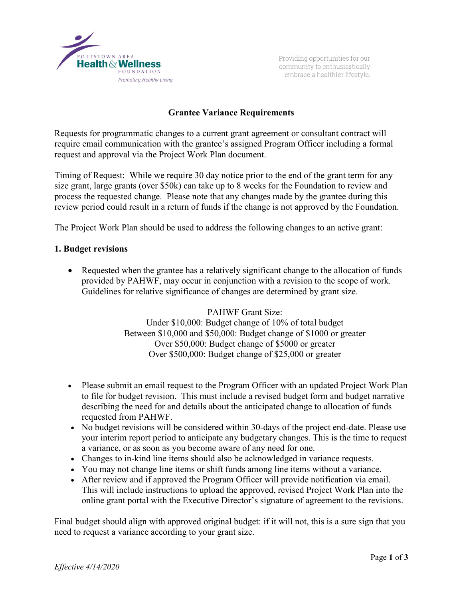

Providing opportunities for our community to enthusiastically embrace a healthier lifestyle.

# **Grantee Variance Requirements**

Requests for programmatic changes to a current grant agreement or consultant contract will require email communication with the grantee's assigned Program Officer including a formal request and approval via the Project Work Plan document.

Timing of Request: While we require 30 day notice prior to the end of the grant term for any size grant, large grants (over \$50k) can take up to 8 weeks for the Foundation to review and process the requested change. Please note that any changes made by the grantee during this review period could result in a return of funds if the change is not approved by the Foundation.

The Project Work Plan should be used to address the following changes to an active grant:

#### **1. Budget revisions**

• Requested when the grantee has a relatively significant change to the allocation of funds provided by PAHWF, may occur in conjunction with a revision to the scope of work. Guidelines for relative significance of changes are determined by grant size.

> PAHWF Grant Size: Under \$10,000: Budget change of 10% of total budget Between \$10,000 and \$50,000: Budget change of \$1000 or greater Over \$50,000: Budget change of \$5000 or greater Over \$500,000: Budget change of \$25,000 or greater

- Please submit an email request to the Program Officer with an updated Project Work Plan to file for budget revision. This must include a revised budget form and budget narrative describing the need for and details about the anticipated change to allocation of funds requested from PAHWF.
- No budget revisions will be considered within 30-days of the project end-date. Please use your interim report period to anticipate any budgetary changes. This is the time to request a variance, or as soon as you become aware of any need for one.
- Changes to in-kind line items should also be acknowledged in variance requests.
- You may not change line items or shift funds among line items without a variance.
- After review and if approved the Program Officer will provide notification via email. This will include instructions to upload the approved, revised Project Work Plan into the online grant portal with the Executive Director's signature of agreement to the revisions.

Final budget should align with approved original budget: if it will not, this is a sure sign that you need to request a variance according to your grant size.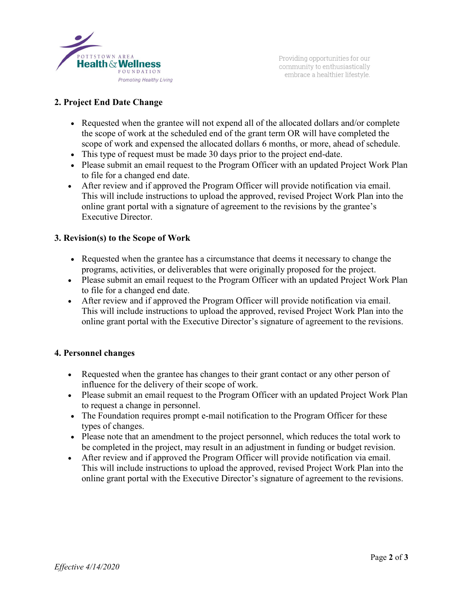

Providing opportunities for our community to enthusiastically embrace a healthier lifestyle.

# **2. Project End Date Change**

- Requested when the grantee will not expend all of the allocated dollars and/or complete the scope of work at the scheduled end of the grant term OR will have completed the scope of work and expensed the allocated dollars 6 months, or more, ahead of schedule.
- This type of request must be made 30 days prior to the project end-date.
- Please submit an email request to the Program Officer with an updated Project Work Plan to file for a changed end date.
- After review and if approved the Program Officer will provide notification via email. This will include instructions to upload the approved, revised Project Work Plan into the online grant portal with a signature of agreement to the revisions by the grantee's Executive Director.

### **3. Revision(s) to the Scope of Work**

- Requested when the grantee has a circumstance that deems it necessary to change the programs, activities, or deliverables that were originally proposed for the project.
- Please submit an email request to the Program Officer with an updated Project Work Plan to file for a changed end date.
- After review and if approved the Program Officer will provide notification via email. This will include instructions to upload the approved, revised Project Work Plan into the online grant portal with the Executive Director's signature of agreement to the revisions.

### **4. Personnel changes**

- Requested when the grantee has changes to their grant contact or any other person of influence for the delivery of their scope of work.
- Please submit an email request to the Program Officer with an updated Project Work Plan to request a change in personnel.
- The Foundation requires prompt e-mail notification to the Program Officer for these types of changes.
- Please note that an amendment to the project personnel, which reduces the total work to be completed in the project, may result in an adjustment in funding or budget revision.
- After review and if approved the Program Officer will provide notification via email. This will include instructions to upload the approved, revised Project Work Plan into the online grant portal with the Executive Director's signature of agreement to the revisions.